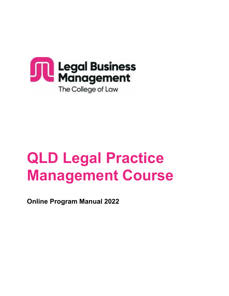

# **QLD Legal Practice Management Course**

**Online Program Manual 2022**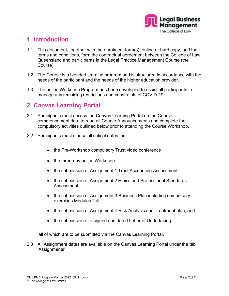

# **1. Introduction**

- 1.1 This document, together with the enrolment form(s), online or hard copy, and the terms and conditions, form the contractual agreement between the College of Law Queensland and participants in the Legal Practice Management Course (the Course).
- 1.2 The Course is a blended learning program and is structured in accordance with the needs of the participant and the needs of the higher education provider.
- 1.3 The online Workshop Program has been developed to assist all participants to manage any remaining restrictions and constraints of COVID-19.

#### **2. Canvas Learning Portal**

- 2.1 Participants must access the Canvas Learning Portal on the Course commencement date to read all Course Announcements and complete the compulsory activities outlined below prior to attending the Course Workshop.
- 2.2 Participants must diarise all critical dates for:
	- the Pre-Workshop compulsory Trust video conference
	- the three-day online Workshop
	- the submission of Assignment 1 Trust Accounting Assessment
	- the submission of Assignment 2 Ethics and Professional Standards Assessment
	- the submission of Assignment 3 Business Plan including compulsory exercises Modules 2-5
	- the submission of Assignment 4 Risk Analysis and Treatment plan, and
	- the submission of a signed and dated Letter of Undertaking

all of which are to be submitted via the Canvas Learning Portal.

2.3 All Assignment dates are available on the Canvas Learning Portal under the tab 'Assignments'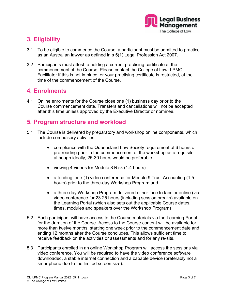

# **3. Eligibility**

- 3.1 To be eligible to commence the Course, a participant must be admitted to practice as an Australian lawyer as defined in s 5(1) Legal Profession Act 2007.
- 3.2 Participants must attest to holding a current practising certificate at the commencement of the Course. Please contact the College of Law, LPMC Facilitator if this is not in place, or your practising certificate is restricted, at the time of the commencement of the Course.

#### **4. Enrolments**

4.1 Online enrolments for the Course close one (1) business day prior to the Course commencement date. Transfers and cancellations will not be accepted after this time unless approved by the Executive Director or nominee.

#### **5. Program structure and workload**

- 5.1 The Course is delivered by preparatory and workshop online components, which include compulsory activities:
	- compliance with the Queensland Law Society requirement of 6 hours of pre-reading prior to the commencement of the workshop as a requisite although ideally, 25-30 hours would be preferable
	- viewing 4 videos for Module 8 Risk (1.4 hours)
	- attending one (1) video conference for Module 9 Trust Accounting (1.5) hours) prior to the three-day Workshop Program,and
	- a three-day Workshop Program delivered either face to face or online (via video conference for 23.25 hours (including session breaks) available on the Learning Portal (which also sets out the applicable Course dates, times, modules and speakers over the Workshop Program)
- 5.2 Each participant will have access to the Course materials via the Learning Portal for the duration of the Course. Access to the Course content will be available for more than twelve months, starting one week prior to the commencement date and ending 12 months after the Course concludes. This allows sufficient time to receive feedback on the activities or assessments and for any re-sits.
- 5.3 Participants enrolled in an online Workshop Program will access the sessions via video conference. You will be required to have the video conference software downloaded, a stable internet connection and a capable device (preferably not a smartphone due to the limited screen size).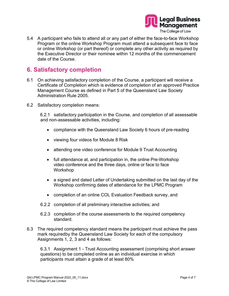

5.4 A participant who fails to attend all or any part of either the face-to-face Workshop Program or the online Workshop Program must attend a subsequent face to face or online Workshop (or part thereof) or complete any other activity as required by the Executive Director or their nominee within 12 months of the commencement date of the Course.

### **6. Satisfactory completion**

- 6.1 On achieving satisfactory completion of the Course, a participant will receive a Certificate of Completion which is evidence of completion of an approved Practice Management Course as defined in Part 5 of the Queensland Law Society Administration Rule 2005.
- 6.2 Satisfactory completion means:

6.2.1 satisfactory participation in the Course, and completion of all assessable and non-assessable activities, including:

- compliance with the Queensland Law Society 6 hours of pre-reading
- viewing four videos for Module 8 Risk
- attending one video conference for Module 9 Trust Accounting
- full attendance at, and participation in, the online Pre-Workshop video conference and the three days, online or face to face Workshop
- a signed and dated Letter of Undertaking submitted on the last day of the Workshop confirming dates of attendance for the LPMC Program
- completion of an online COL Evaluation Feedback survey, and
- 6.2.2 completion of all preliminary interactive activities; and
- 6.2.3 completion of the course assessments to the required competency standard.
- 6.3 The required competency standard means the participant must achieve the pass mark required by the Queensland Law Society for each of the compulsory Assignments 1, 2, 3 and 4 as follows:

6.3.1 Assignment 1 - Trust Accounting assessment (comprising short answer questions) to be completed online as an individual exercise in which participants must attain a grade of at least 80%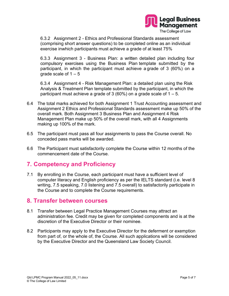

6.3.2 Assignment 2 - Ethics and Professional Standards assessment (comprising short answer questions) to be completed online as an individual exercise inwhich participants must achieve a grade of at least 75%

6.3.3 Assignment 3 - Business Plan: a written detailed plan including four compulsory exercises using the Business Plan template submitted by the participant, in which the participant must achieve a grade of 3 (60%) on a grade scale of  $1 - 5$ 

6.3.4 Assignment 4 - Risk Management Plan: a detailed plan using the Risk Analysis & Treatment Plan template submitted by the participant, in which the participant must achieve a grade of 3 (60%) on a grade scale of  $1 - 5$ .

- 6.4 The total marks achieved for both Assignment 1 Trust Accounting assessment and Assignment 2 Ethics and Professional Standards assessment make up 50% of the overall mark. Both Assignment 3 Business Plan and Assignment 4 Risk Management Plan make up 50% of the overall mark, with all 4 Assignments making up 100% of the mark.
- 6.5 The participant must pass all four assignments to pass the Course overall. No conceded pass marks will be awarded.
- 6.6 The Participant must satisfactorily complete the Course within 12 months of the commencement date of the Course.

# **7. Competency and Proficiency**

7.1 By enrolling in the Course, each participant must have a sufficient level of computer literacy and English proficiency as per the IELTS standard (i.e. level 8 writing, 7.5 speaking, 7.0 listening and 7.5 overall) to satisfactorily participate in the Course and to complete the Course requirements.

#### **8. Transfer between courses**

- 8.1 Transfer between Legal Practice Management Courses may attract an administration fee. Credit may be given for completed components and is at the discretion of the Executive Director or their nominee.
- 8.2 Participants may apply to the Executive Director for the deferment or exemption from part of, or the whole of, the Course. All such applications will be considered by the Executive Director and the Queensland Law Society Council.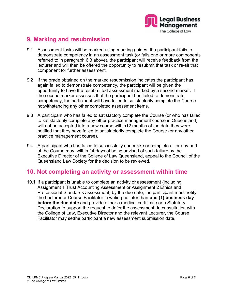

## **9. Marking and resubmission**

- 9.1 Assessment tasks will be marked using marking guides. If a participant fails to demonstrate competency in an assessment task (or fails one or more components referred to in paragraph 6.3 above), the participant will receive feedback from the lecturer and will then be offered the opportunity to resubmit that task or re-sit that component for further assessment.
- 9.2 If the grade obtained on the marked resubmission indicates the participant has again failed to demonstrate competency, the participant will be given the opportunity to have the resubmitted assessment marked by a second marker. If the second marker assesses that the participant has failed to demonstrate competency, the participant will have failed to satisfactorily complete the Course notwithstanding any other completed assessment items.
- 9.3 A participant who has failed to satisfactory complete the Course (or who has failed to satisfactorily complete any other practice management course in Queensland) will not be accepted into a new course within12 months of the date they were notified that they have failed to satisfactorily complete the Course (or any other practice management course).
- 9.4 A participant who has failed to successfully undertake or complete all or any part of the Course may, within 14 days of being advised of such failure by the Executive Director of the College of Law Queensland, appeal to the Council of the Queensland Law Society for the decision to be reviewed.

#### **10. Not completing an activity or assessment within time**

10.1 If a participant is unable to complete an activity or assessment (including Assignment 1 Trust Accounting Assessment or Assignment 2 Ethics and Professional Standards assessment) by the due date, the participant must notify the Lecturer or Course Facilitator in writing no later than **one (1) business day before the due date** and provide either a medical certificate or a Statutory Declaration to support the request to defer the assessment. In consultation with the College of Law, Executive Director and the relevant Lecturer, the Course Facilitator may setthe participant a new assessment submission date.